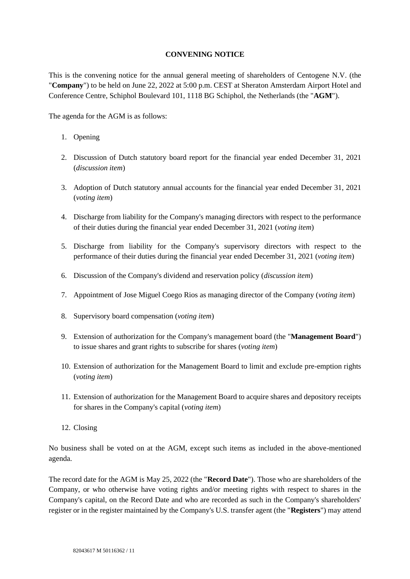#### **CONVENING NOTICE**

This is the convening notice for the annual general meeting of shareholders of Centogene N.V. (the "**Company**") to be held on June 22, 2022 at 5:00 p.m. CEST at Sheraton Amsterdam Airport Hotel and Conference Centre, Schiphol Boulevard 101, 1118 BG Schiphol, the Netherlands (the "**AGM**").

The agenda for the AGM is as follows:

- 1. Opening
- 2. Discussion of Dutch statutory board report for the financial year ended December 31, 2021 (*discussion item*)
- 3. Adoption of Dutch statutory annual accounts for the financial year ended December 31, 2021 (*voting item*)
- 4. Discharge from liability for the Company's managing directors with respect to the performance of their duties during the financial year ended December 31, 2021 (*voting item*)
- 5. Discharge from liability for the Company's supervisory directors with respect to the performance of their duties during the financial year ended December 31, 2021 (*voting item*)
- 6. Discussion of the Company's dividend and reservation policy (*discussion item*)
- 7. Appointment of Jose Miguel Coego Rios as managing director of the Company (*voting item*)
- 8. Supervisory board compensation (*voting item*)
- 9. Extension of authorization for the Company's management board (the "**Management Board**") to issue shares and grant rights to subscribe for shares (*voting item*)
- 10. Extension of authorization for the Management Board to limit and exclude pre-emption rights (*voting item*)
- 11. Extension of authorization for the Management Board to acquire shares and depository receipts for shares in the Company's capital (*voting item*)
- 12. Closing

No business shall be voted on at the AGM, except such items as included in the above-mentioned agenda.

The record date for the AGM is May 25, 2022 (the "**Record Date**"). Those who are shareholders of the Company, or who otherwise have voting rights and/or meeting rights with respect to shares in the Company's capital, on the Record Date and who are recorded as such in the Company's shareholders' register or in the register maintained by the Company's U.S. transfer agent (the "**Registers**") may attend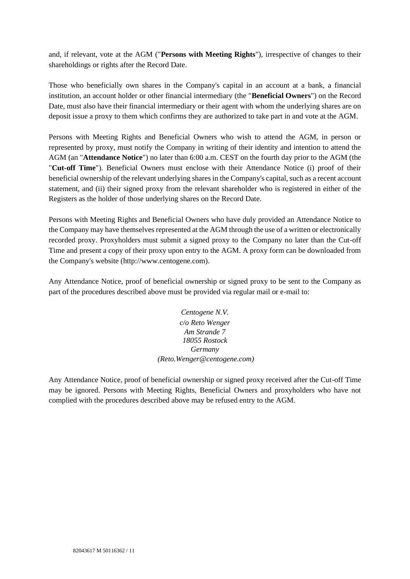and, if relevant, vote at the AGM ("**Persons with Meeting Rights**"), irrespective of changes to their shareholdings or rights after the Record Date.

Those who beneficially own shares in the Company's capital in an account at a bank, a financial institution, an account holder or other financial intermediary (the "**Beneficial Owners**") on the Record Date, must also have their financial intermediary or their agent with whom the underlying shares are on deposit issue a proxy to them which confirms they are authorized to take part in and vote at the AGM.

Persons with Meeting Rights and Beneficial Owners who wish to attend the AGM, in person or represented by proxy, must notify the Company in writing of their identity and intention to attend the AGM (an "**Attendance Notice**") no later than 6:00 a.m. CEST on the fourth day prior to the AGM (the "**Cut-off Time**"). Beneficial Owners must enclose with their Attendance Notice (i) proof of their beneficial ownership of the relevant underlying shares in the Company's capital, such as a recent account statement, and (ii) their signed proxy from the relevant shareholder who is registered in either of the Registers as the holder of those underlying shares on the Record Date.

Persons with Meeting Rights and Beneficial Owners who have duly provided an Attendance Notice to the Company may have themselves represented at the AGM through the use of a written or electronically recorded proxy. Proxyholders must submit a signed proxy to the Company no later than the Cut-off Time and present a copy of their proxy upon entry to the AGM. A proxy form can be downloaded from the Company's website (http://www.centogene.com).

Any Attendance Notice, proof of beneficial ownership or signed proxy to be sent to the Company as part of the procedures described above must be provided via regular mail or e-mail to:

> *Centogene N.V. c/o Reto Wenger Am Strande 7 18055 Rostock Germany (Reto.Wenger@centogene.com)*

Any Attendance Notice, proof of beneficial ownership or signed proxy received after the Cut-off Time may be ignored. Persons with Meeting Rights, Beneficial Owners and proxyholders who have not complied with the procedures described above may be refused entry to the AGM.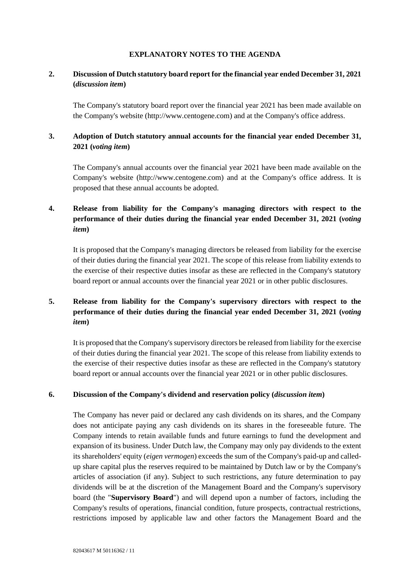#### **EXPLANATORY NOTES TO THE AGENDA**

## **2. Discussion of Dutch statutory board report for the financial year ended December 31, 2021 (***discussion item***)**

The Company's statutory board report over the financial year 2021 has been made available on the Company's website (http://www.centogene.com) and at the Company's office address.

## **3. Adoption of Dutch statutory annual accounts for the financial year ended December 31, 2021 (***voting item***)**

The Company's annual accounts over the financial year 2021 have been made available on the Company's website (http://www.centogene.com) and at the Company's office address. It is proposed that these annual accounts be adopted.

# **4. Release from liability for the Company's managing directors with respect to the performance of their duties during the financial year ended December 31, 2021 (***voting item***)**

It is proposed that the Company's managing directors be released from liability for the exercise of their duties during the financial year 2021. The scope of this release from liability extends to the exercise of their respective duties insofar as these are reflected in the Company's statutory board report or annual accounts over the financial year 2021 or in other public disclosures.

# **5. Release from liability for the Company's supervisory directors with respect to the performance of their duties during the financial year ended December 31, 2021 (***voting item***)**

It is proposed that the Company's supervisory directors be released from liability for the exercise of their duties during the financial year 2021. The scope of this release from liability extends to the exercise of their respective duties insofar as these are reflected in the Company's statutory board report or annual accounts over the financial year 2021 or in other public disclosures.

#### **6. Discussion of the Company's dividend and reservation policy (***discussion item***)**

The Company has never paid or declared any cash dividends on its shares, and the Company does not anticipate paying any cash dividends on its shares in the foreseeable future. The Company intends to retain available funds and future earnings to fund the development and expansion of its business. Under Dutch law, the Company may only pay dividends to the extent its shareholders' equity (*eigen vermogen*) exceeds the sum of the Company's paid-up and calledup share capital plus the reserves required to be maintained by Dutch law or by the Company's articles of association (if any). Subject to such restrictions, any future determination to pay dividends will be at the discretion of the Management Board and the Company's supervisory board (the "**Supervisory Board**") and will depend upon a number of factors, including the Company's results of operations, financial condition, future prospects, contractual restrictions, restrictions imposed by applicable law and other factors the Management Board and the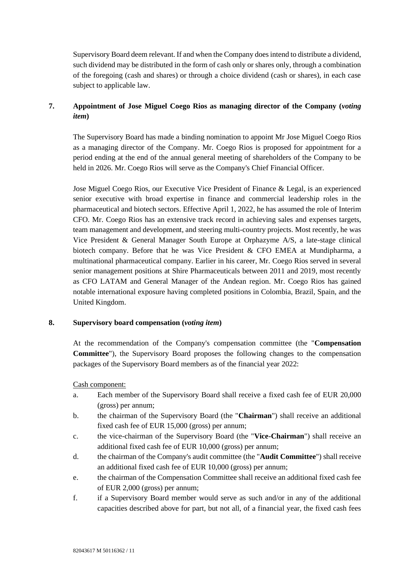Supervisory Board deem relevant. If and when the Company does intend to distribute a dividend, such dividend may be distributed in the form of cash only or shares only, through a combination of the foregoing (cash and shares) or through a choice dividend (cash or shares), in each case subject to applicable law.

## **7. Appointment of Jose Miguel Coego Rios as managing director of the Company (***voting item***)**

The Supervisory Board has made a binding nomination to appoint Mr Jose Miguel Coego Rios as a managing director of the Company. Mr. Coego Rios is proposed for appointment for a period ending at the end of the annual general meeting of shareholders of the Company to be held in 2026. Mr. Coego Rios will serve as the Company's Chief Financial Officer.

Jose Miguel Coego Rios, our Executive Vice President of Finance & Legal, is an experienced senior executive with broad expertise in finance and commercial leadership roles in the pharmaceutical and biotech sectors. Effective April 1, 2022, he has assumed the role of Interim CFO. Mr. Coego Rios has an extensive track record in achieving sales and expenses targets, team management and development, and steering multi-country projects. Most recently, he was Vice President & General Manager South Europe at Orphazyme A/S, a late-stage clinical biotech company. Before that he was Vice President & CFO EMEA at Mundipharma, a multinational pharmaceutical company. Earlier in his career, Mr. Coego Rios served in several senior management positions at Shire Pharmaceuticals between 2011 and 2019, most recently as CFO LATAM and General Manager of the Andean region. Mr. Coego Rios has gained notable international exposure having completed positions in Colombia, Brazil, Spain, and the United Kingdom.

#### **8. Supervisory board compensation (***voting item***)**

At the recommendation of the Company's compensation committee (the "**Compensation Committee**"), the Supervisory Board proposes the following changes to the compensation packages of the Supervisory Board members as of the financial year 2022:

#### Cash component:

- a. Each member of the Supervisory Board shall receive a fixed cash fee of EUR 20,000 (gross) per annum;
- b. the chairman of the Supervisory Board (the "**Chairman**") shall receive an additional fixed cash fee of EUR 15,000 (gross) per annum;
- c. the vice-chairman of the Supervisory Board (the "**Vice-Chairman**") shall receive an additional fixed cash fee of EUR 10,000 (gross) per annum;
- d. the chairman of the Company's audit committee (the "**Audit Committee**") shall receive an additional fixed cash fee of EUR 10,000 (gross) per annum;
- e. the chairman of the Compensation Committee shall receive an additional fixed cash fee of EUR 2,000 (gross) per annum;
- f. if a Supervisory Board member would serve as such and/or in any of the additional capacities described above for part, but not all, of a financial year, the fixed cash fees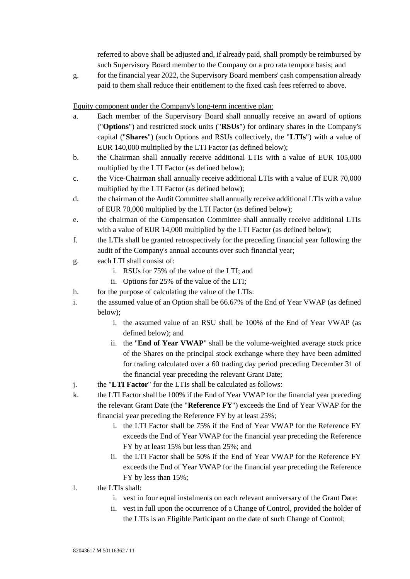referred to above shall be adjusted and, if already paid, shall promptly be reimbursed by such Supervisory Board member to the Company on a pro rata tempore basis; and

g. for the financial year 2022, the Supervisory Board members' cash compensation already paid to them shall reduce their entitlement to the fixed cash fees referred to above.

Equity component under the Company's long-term incentive plan:

- a. Each member of the Supervisory Board shall annually receive an award of options ("**Options**") and restricted stock units ("**RSUs**") for ordinary shares in the Company's capital ("**Shares**") (such Options and RSUs collectively, the "**LTIs**") with a value of EUR 140,000 multiplied by the LTI Factor (as defined below);
- b. the Chairman shall annually receive additional LTIs with a value of EUR 105,000 multiplied by the LTI Factor (as defined below);
- c. the Vice-Chairman shall annually receive additional LTIs with a value of EUR 70,000 multiplied by the LTI Factor (as defined below);
- d. the chairman of the Audit Committee shall annually receive additional LTIs with a value of EUR 70,000 multiplied by the LTI Factor (as defined below);
- e. the chairman of the Compensation Committee shall annually receive additional LTIs with a value of EUR 14,000 multiplied by the LTI Factor (as defined below);
- f. the LTIs shall be granted retrospectively for the preceding financial year following the audit of the Company's annual accounts over such financial year;
- g. each LTI shall consist of:
	- i. RSUs for 75% of the value of the LTI; and
	- ii. Options for 25% of the value of the LTI;
- h. for the purpose of calculating the value of the LTIs:
- i. the assumed value of an Option shall be 66.67% of the End of Year VWAP (as defined below);
	- i. the assumed value of an RSU shall be 100% of the End of Year VWAP (as defined below); and
	- ii. the "**End of Year VWAP**" shall be the volume-weighted average stock price of the Shares on the principal stock exchange where they have been admitted for trading calculated over a 60 trading day period preceding December 31 of the financial year preceding the relevant Grant Date;
- j. the "**LTI Factor**" for the LTIs shall be calculated as follows:
- k. the LTI Factor shall be 100% if the End of Year VWAP for the financial year preceding the relevant Grant Date (the "**Reference FY**") exceeds the End of Year VWAP for the financial year preceding the Reference FY by at least 25%;
	- i. the LTI Factor shall be 75% if the End of Year VWAP for the Reference FY exceeds the End of Year VWAP for the financial year preceding the Reference FY by at least 15% but less than 25%; and
	- ii. the LTI Factor shall be 50% if the End of Year VWAP for the Reference FY exceeds the End of Year VWAP for the financial year preceding the Reference FY by less than 15%;
- l. the LTIs shall:
	- i. vest in four equal instalments on each relevant anniversary of the Grant Date:
	- ii. vest in full upon the occurrence of a Change of Control, provided the holder of the LTIs is an Eligible Participant on the date of such Change of Control;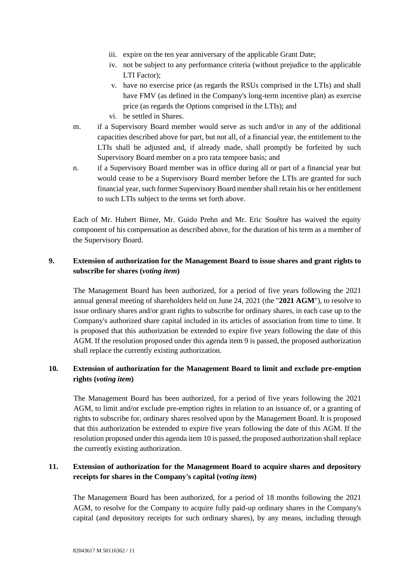- iii. expire on the ten year anniversary of the applicable Grant Date;
- iv. not be subject to any performance criteria (without prejudice to the applicable LTI Factor);
- v. have no exercise price (as regards the RSUs comprised in the LTIs) and shall have FMV (as defined in the Company's long-term incentive plan) as exercise price (as regards the Options comprised in the LTIs); and
- vi. be settled in Shares.
- m. if a Supervisory Board member would serve as such and/or in any of the additional capacities described above for part, but not all, of a financial year, the entitlement to the LTIs shall be adjusted and, if already made, shall promptly be forfeited by such Supervisory Board member on a pro rata tempore basis; and
- n. if a Supervisory Board member was in office during all or part of a financial year but would cease to be a Supervisory Board member before the LTIs are granted for such financial year, such former Supervisory Board member shall retain his or her entitlement to such LTIs subject to the terms set forth above.

Each of Mr. Hubert Birner, Mr. Guido Prehn and Mr. Eric Souêtre has waived the equity component of his compensation as described above, for the duration of his term as a member of the Supervisory Board.

## **9. Extension of authorization for the Management Board to issue shares and grant rights to subscribe for shares (***voting item***)**

The Management Board has been authorized, for a period of five years following the 2021 annual general meeting of shareholders held on June 24, 2021 (the "**2021 AGM**"), to resolve to issue ordinary shares and/or grant rights to subscribe for ordinary shares, in each case up to the Company's authorized share capital included in its articles of association from time to time. It is proposed that this authorization be extended to expire five years following the date of this AGM. If the resolution proposed under this agenda item 9 is passed, the proposed authorization shall replace the currently existing authorization.

### **10. Extension of authorization for the Management Board to limit and exclude pre-emption rights (***voting item***)**

The Management Board has been authorized, for a period of five years following the 2021 AGM, to limit and/or exclude pre-emption rights in relation to an issuance of, or a granting of rights to subscribe for, ordinary shares resolved upon by the Management Board. It is proposed that this authorization be extended to expire five years following the date of this AGM. If the resolution proposed under this agenda item 10 is passed, the proposed authorization shall replace the currently existing authorization.

## **11. Extension of authorization for the Management Board to acquire shares and depository receipts for shares in the Company's capital (***voting item***)**

The Management Board has been authorized, for a period of 18 months following the 2021 AGM, to resolve for the Company to acquire fully paid-up ordinary shares in the Company's capital (and depository receipts for such ordinary shares), by any means, including through